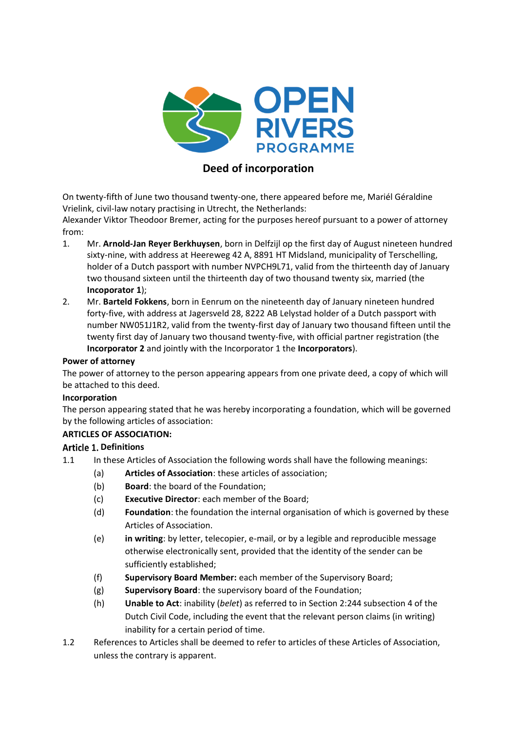

# **Deed of incorporation**

On twenty-fifth of June two thousand twenty-one, there appeared before me, Mariél Géraldine Vrielink, civil-law notary practising in Utrecht, the Netherlands:

Alexander Viktor Theodoor Bremer, acting for the purposes hereof pursuant to a power of attorney from:

- 1. Mr. **Arnold-Jan Reyer Berkhuysen**, born in Delfzijl op the first day of August nineteen hundred sixty-nine, with address at Heereweg 42 A, 8891 HT Midsland, municipality of Terschelling, holder of a Dutch passport with number NVPCH9L71, valid from the thirteenth day of January two thousand sixteen until the thirteenth day of two thousand twenty six, married (the **Incoporator 1**);
- 2. Mr. **Barteld Fokkens**, born in Eenrum on the nineteenth day of January nineteen hundred forty-five, with address at Jagersveld 28, 8222 AB Lelystad holder of a Dutch passport with number NW051J1R2, valid from the twenty-first day of January two thousand fifteen until the twenty first day of January two thousand twenty-five, with official partner registration (the **Incorporator 2** and jointly with the Incorporator 1 the **Incorporators**).

#### **Power of attorney**

The power of attorney to the person appearing appears from one private deed, a copy of which will be attached to this deed.

### **Incorporation**

The person appearing stated that he was hereby incorporating a foundation, which will be governed by the following articles of association:

### **ARTICLES OF ASSOCIATION:**

### **Article 1. Definitions**

- 1.1 In these Articles of Association the following words shall have the following meanings:
	- (a) **Articles of Association**: these articles of association;
	- (b) **Board**: the board of the Foundation;
	- (c) **Executive Director**: each member of the Board;
	- (d) **Foundation**: the foundation the internal organisation of which is governed by these Articles of Association.
	- (e) **in writing**: by letter, telecopier, e-mail, or by a legible and reproducible message otherwise electronically sent, provided that the identity of the sender can be sufficiently established;
	- (f) **Supervisory Board Member:** each member of the Supervisory Board;
	- (g) **Supervisory Board**: the supervisory board of the Foundation;
	- (h) **Unable to Act**: inability (*belet*) as referred to in Section 2:244 subsection 4 of the Dutch Civil Code, including the event that the relevant person claims (in writing) inability for a certain period of time.
- 1.2 References to Articles shall be deemed to refer to articles of these Articles of Association, unless the contrary is apparent.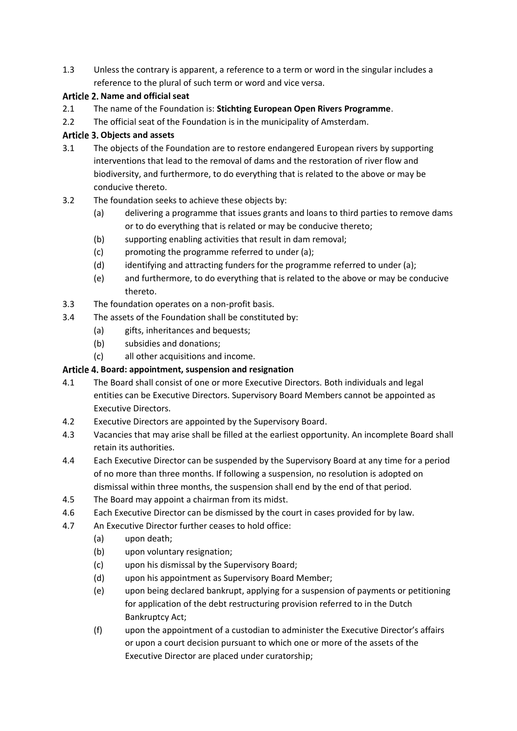1.3 Unless the contrary is apparent, a reference to a term or word in the singular includes a reference to the plural of such term or word and vice versa.

# Article 2. Name and official seat

- 2.1 The name of the Foundation is: **Stichting European Open Rivers Programme**.
- 2.2 The official seat of the Foundation is in the municipality of Amsterdam.

# **Objects and assets**

- 3.1 The objects of the Foundation are to restore endangered European rivers by supporting interventions that lead to the removal of dams and the restoration of river flow and biodiversity, and furthermore, to do everything that is related to the above or may be conducive thereto.
- 3.2 The foundation seeks to achieve these objects by:
	- (a) delivering a programme that issues grants and loans to third parties to remove dams or to do everything that is related or may be conducive thereto;
	- (b) supporting enabling activities that result in dam removal;
	- (c) promoting the programme referred to under (a);
	- (d) identifying and attracting funders for the programme referred to under (a);
	- (e) and furthermore, to do everything that is related to the above or may be conducive thereto.
- 3.3 The foundation operates on a non-profit basis.
- 3.4 The assets of the Foundation shall be constituted by:
	- (a) gifts, inheritances and bequests;
	- (b) subsidies and donations;
	- (c) all other acquisitions and income.

# **Board: appointment, suspension and resignation**

- 4.1 The Board shall consist of one or more Executive Directors. Both individuals and legal entities can be Executive Directors. Supervisory Board Members cannot be appointed as Executive Directors.
- 4.2 Executive Directors are appointed by the Supervisory Board.
- 4.3 Vacancies that may arise shall be filled at the earliest opportunity. An incomplete Board shall retain its authorities.
- 4.4 Each Executive Director can be suspended by the Supervisory Board at any time for a period of no more than three months. If following a suspension, no resolution is adopted on dismissal within three months, the suspension shall end by the end of that period.
- 4.5 The Board may appoint a chairman from its midst.
- 4.6 Each Executive Director can be dismissed by the court in cases provided for by law.
- 4.7 An Executive Director further ceases to hold office:
	- (a) upon death;
	- (b) upon voluntary resignation;
	- (c) upon his dismissal by the Supervisory Board;
	- (d) upon his appointment as Supervisory Board Member;
	- (e) upon being declared bankrupt, applying for a suspension of payments or petitioning for application of the debt restructuring provision referred to in the Dutch Bankruptcy Act;
	- (f) upon the appointment of a custodian to administer the Executive Director's affairs or upon a court decision pursuant to which one or more of the assets of the Executive Director are placed under curatorship;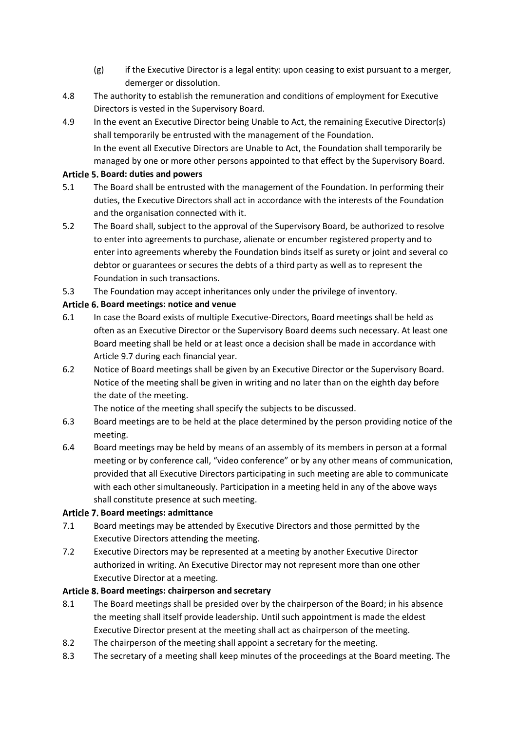- $(g)$  if the Executive Director is a legal entity: upon ceasing to exist pursuant to a merger, demerger or dissolution.
- 4.8 The authority to establish the remuneration and conditions of employment for Executive Directors is vested in the Supervisory Board.
- 4.9 In the event an Executive Director being Unable to Act, the remaining Executive Director(s) shall temporarily be entrusted with the management of the Foundation. In the event all Executive Directors are Unable to Act, the Foundation shall temporarily be managed by one or more other persons appointed to that effect by the Supervisory Board.

### **Board: duties and powers**

- 5.1 The Board shall be entrusted with the management of the Foundation. In performing their duties, the Executive Directors shall act in accordance with the interests of the Foundation and the organisation connected with it.
- 5.2 The Board shall, subject to the approval of the Supervisory Board, be authorized to resolve to enter into agreements to purchase, alienate or encumber registered property and to enter into agreements whereby the Foundation binds itself as surety or joint and several co debtor or guarantees or secures the debts of a third party as well as to represent the Foundation in such transactions.
- 5.3 The Foundation may accept inheritances only under the privilege of inventory.

### **Board meetings: notice and venue**

- 6.1 In case the Board exists of multiple Executive-Directors, Board meetings shall be held as often as an Executive Director or the Supervisory Board deems such necessary. At least one Board meeting shall be held or at least once a decision shall be made in accordance with Articl[e 9.7](#page-3-0) during each financial year.
- 6.2 Notice of Board meetings shall be given by an Executive Director or the Supervisory Board. Notice of the meeting shall be given in writing and no later than on the eighth day before the date of the meeting.

The notice of the meeting shall specify the subjects to be discussed.

- 6.3 Board meetings are to be held at the place determined by the person providing notice of the meeting.
- 6.4 Board meetings may be held by means of an assembly of its members in person at a formal meeting or by conference call, "video conference" or by any other means of communication, provided that all Executive Directors participating in such meeting are able to communicate with each other simultaneously. Participation in a meeting held in any of the above ways shall constitute presence at such meeting.

### **Board meetings: admittance**

- 7.1 Board meetings may be attended by Executive Directors and those permitted by the Executive Directors attending the meeting.
- 7.2 Executive Directors may be represented at a meeting by another Executive Director authorized in writing. An Executive Director may not represent more than one other Executive Director at a meeting.

### **Board meetings: chairperson and secretary**

- 8.1 The Board meetings shall be presided over by the chairperson of the Board; in his absence the meeting shall itself provide leadership. Until such appointment is made the eldest Executive Director present at the meeting shall act as chairperson of the meeting.
- 8.2 The chairperson of the meeting shall appoint a secretary for the meeting.
- 8.3 The secretary of a meeting shall keep minutes of the proceedings at the Board meeting. The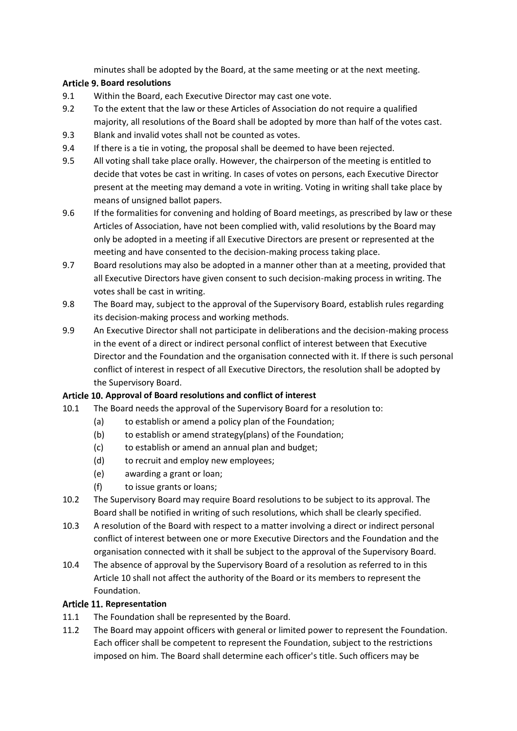minutes shall be adopted by the Board, at the same meeting or at the next meeting.

## **Board resolutions**

- 9.1 Within the Board, each Executive Director may cast one vote.
- 9.2 To the extent that the law or these Articles of Association do not require a qualified majority, all resolutions of the Board shall be adopted by more than half of the votes cast.
- <span id="page-3-2"></span>9.3 Blank and invalid votes shall not be counted as votes.
- 9.4 If there is a tie in voting, the proposal shall be deemed to have been rejected.
- 9.5 All voting shall take place orally. However, the chairperson of the meeting is entitled to decide that votes be cast in writing. In cases of votes on persons, each Executive Director present at the meeting may demand a vote in writing. Voting in writing shall take place by means of unsigned ballot papers.
- <span id="page-3-3"></span>9.6 If the formalities for convening and holding of Board meetings, as prescribed by law or these Articles of Association, have not been complied with, valid resolutions by the Board may only be adopted in a meeting if all Executive Directors are present or represented at the meeting and have consented to the decision-making process taking place.
- <span id="page-3-0"></span>9.7 Board resolutions may also be adopted in a manner other than at a meeting, provided that all Executive Directors have given consent to such decision-making process in writing. The votes shall be cast in writing.
- 9.8 The Board may, subject to the approval of the Supervisory Board, establish rules regarding its decision-making process and working methods.
- 9.9 An Executive Director shall not participate in deliberations and the decision-making process in the event of a direct or indirect personal conflict of interest between that Executive Director and the Foundation and the organisation connected with it. If there is such personal conflict of interest in respect of all Executive Directors, the resolution shall be adopted by the Supervisory Board.

# <span id="page-3-1"></span>Article 10. Approval of Board resolutions and conflict of interest

- 10.1 The Board needs the approval of the Supervisory Board for a resolution to:
	- (a) to establish or amend a policy plan of the Foundation;
	- (b) to establish or amend strategy(plans) of the Foundation;
	- (c) to establish or amend an annual plan and budget;
	- (d) to recruit and employ new employees;
	- (e) awarding a grant or loan;
	- (f) to issue grants or loans;
- 10.2 The Supervisory Board may require Board resolutions to be subject to its approval. The Board shall be notified in writing of such resolutions, which shall be clearly specified.
- 10.3 A resolution of the Board with respect to a matter involving a direct or indirect personal conflict of interest between one or more Executive Directors and the Foundation and the organisation connected with it shall be subject to the approval of the Supervisory Board.
- 10.4 The absence of approval by the Supervisory Board of a resolution as referred to in this [Article 10](#page-3-1) shall not affect the authority of the Board or its members to represent the Foundation.

### **Article 11. Representation**

- 11.1 The Foundation shall be represented by the Board.
- 11.2 The Board may appoint officers with general or limited power to represent the Foundation. Each officer shall be competent to represent the Foundation, subject to the restrictions imposed on him. The Board shall determine each officer's title. Such officers may be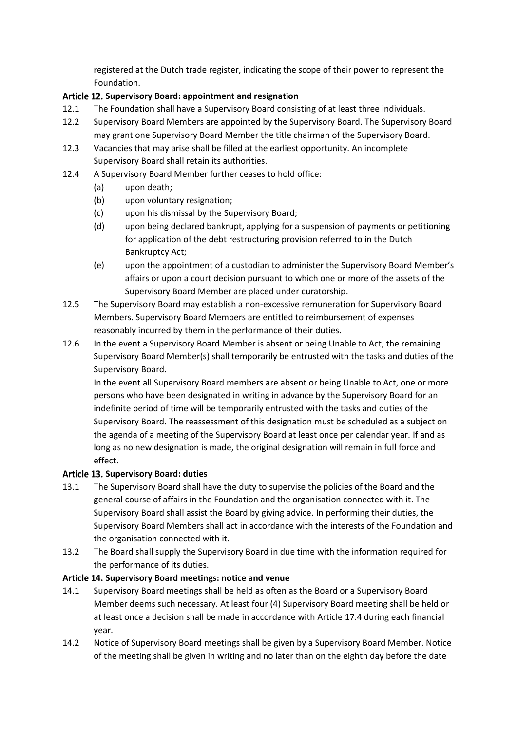registered at the Dutch trade register, indicating the scope of their power to represent the Foundation.

### **Supervisory Board: appointment and resignation**

- 12.1 The Foundation shall have a Supervisory Board consisting of at least three individuals.
- 12.2 Supervisory Board Members are appointed by the Supervisory Board. The Supervisory Board may grant one Supervisory Board Member the title chairman of the Supervisory Board.
- 12.3 Vacancies that may arise shall be filled at the earliest opportunity. An incomplete Supervisory Board shall retain its authorities.
- 12.4 A Supervisory Board Member further ceases to hold office:
	- (a) upon death;
	- (b) upon voluntary resignation;
	- (c) upon his dismissal by the Supervisory Board;
	- (d) upon being declared bankrupt, applying for a suspension of payments or petitioning for application of the debt restructuring provision referred to in the Dutch Bankruptcy Act;
	- (e) upon the appointment of a custodian to administer the Supervisory Board Member's affairs or upon a court decision pursuant to which one or more of the assets of the Supervisory Board Member are placed under curatorship.
- 12.5 The Supervisory Board may establish a non-excessive remuneration for Supervisory Board Members. Supervisory Board Members are entitled to reimbursement of expenses reasonably incurred by them in the performance of their duties.
- 12.6 In the event a Supervisory Board Member is absent or being Unable to Act, the remaining Supervisory Board Member(s) shall temporarily be entrusted with the tasks and duties of the Supervisory Board.

In the event all Supervisory Board members are absent or being Unable to Act, one or more persons who have been designated in writing in advance by the Supervisory Board for an indefinite period of time will be temporarily entrusted with the tasks and duties of the Supervisory Board. The reassessment of this designation must be scheduled as a subject on the agenda of a meeting of the Supervisory Board at least once per calendar year. If and as long as no new designation is made, the original designation will remain in full force and effect.

### **Supervisory Board: duties**

- 13.1 The Supervisory Board shall have the duty to supervise the policies of the Board and the general course of affairs in the Foundation and the organisation connected with it. The Supervisory Board shall assist the Board by giving advice. In performing their duties, the Supervisory Board Members shall act in accordance with the interests of the Foundation and the organisation connected with it.
- 13.2 The Board shall supply the Supervisory Board in due time with the information required for the performance of its duties.

### Article 14. Supervisory Board meetings: notice and venue

- 14.1 Supervisory Board meetings shall be held as often as the Board or a Supervisory Board Member deems such necessary. At least four (4) Supervisory Board meeting shall be held or at least once a decision shall be made in accordance with Article [17.4](#page-5-0) during each financial year.
- 14.2 Notice of Supervisory Board meetings shall be given by a Supervisory Board Member. Notice of the meeting shall be given in writing and no later than on the eighth day before the date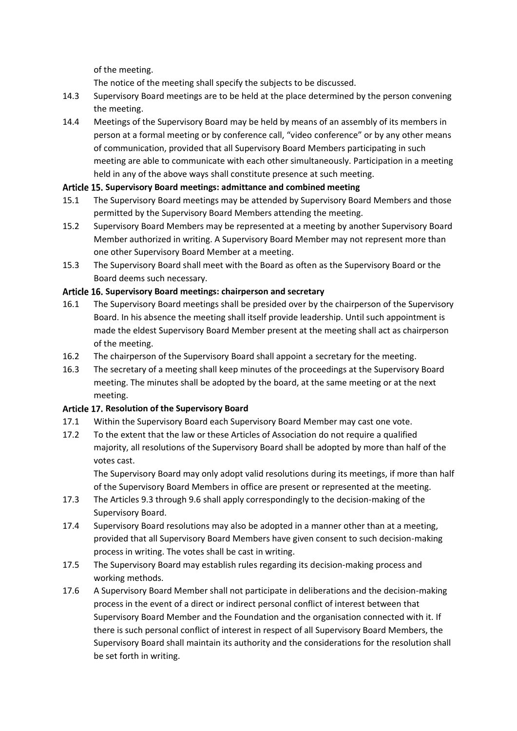of the meeting.

The notice of the meeting shall specify the subjects to be discussed.

- 14.3 Supervisory Board meetings are to be held at the place determined by the person convening the meeting.
- 14.4 Meetings of the Supervisory Board may be held by means of an assembly of its members in person at a formal meeting or by conference call, "video conference" or by any other means of communication, provided that all Supervisory Board Members participating in such meeting are able to communicate with each other simultaneously. Participation in a meeting held in any of the above ways shall constitute presence at such meeting.

### **Supervisory Board meetings: admittance and combined meeting**

- 15.1 The Supervisory Board meetings may be attended by Supervisory Board Members and those permitted by the Supervisory Board Members attending the meeting.
- 15.2 Supervisory Board Members may be represented at a meeting by another Supervisory Board Member authorized in writing. A Supervisory Board Member may not represent more than one other Supervisory Board Member at a meeting.
- 15.3 The Supervisory Board shall meet with the Board as often as the Supervisory Board or the Board deems such necessary.

### Article 16. Supervisory Board meetings: chairperson and secretary

- 16.1 The Supervisory Board meetings shall be presided over by the chairperson of the Supervisory Board. In his absence the meeting shall itself provide leadership. Until such appointment is made the eldest Supervisory Board Member present at the meeting shall act as chairperson of the meeting.
- 16.2 The chairperson of the Supervisory Board shall appoint a secretary for the meeting.
- 16.3 The secretary of a meeting shall keep minutes of the proceedings at the Supervisory Board meeting. The minutes shall be adopted by the board, at the same meeting or at the next meeting.

### **Article 17. Resolution of the Supervisory Board**

- 17.1 Within the Supervisory Board each Supervisory Board Member may cast one vote.
- 17.2 To the extent that the law or these Articles of Association do not require a qualified majority, all resolutions of the Supervisory Board shall be adopted by more than half of the votes cast.

The Supervisory Board may only adopt valid resolutions during its meetings, if more than half of the Supervisory Board Members in office are present or represented at the meeting.

- 17.3 The Articles [9.3](#page-3-2) throug[h 9.6](#page-3-3) shall apply correspondingly to the decision-making of the Supervisory Board.
- <span id="page-5-0"></span>17.4 Supervisory Board resolutions may also be adopted in a manner other than at a meeting, provided that all Supervisory Board Members have given consent to such decision-making process in writing. The votes shall be cast in writing.
- 17.5 The Supervisory Board may establish rules regarding its decision-making process and working methods.
- 17.6 A Supervisory Board Member shall not participate in deliberations and the decision-making process in the event of a direct or indirect personal conflict of interest between that Supervisory Board Member and the Foundation and the organisation connected with it. If there is such personal conflict of interest in respect of all Supervisory Board Members, the Supervisory Board shall maintain its authority and the considerations for the resolution shall be set forth in writing.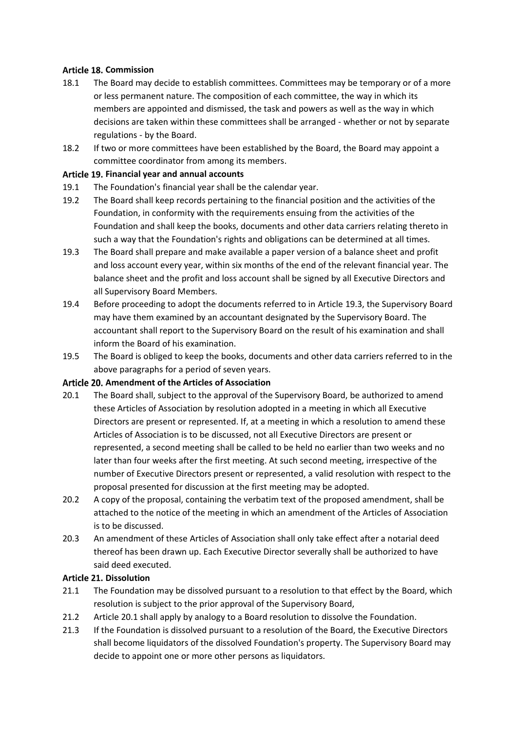### **Article 18. Commission**

- 18.1 The Board may decide to establish committees. Committees may be temporary or of a more or less permanent nature. The composition of each committee, the way in which its members are appointed and dismissed, the task and powers as well as the way in which decisions are taken within these committees shall be arranged - whether or not by separate regulations - by the Board.
- 18.2 If two or more committees have been established by the Board, the Board may appoint a committee coordinator from among its members.

#### **Financial year and annual accounts**

- 19.1 The Foundation's financial year shall be the calendar year.
- 19.2 The Board shall keep records pertaining to the financial position and the activities of the Foundation, in conformity with the requirements ensuing from the activities of the Foundation and shall keep the books, documents and other data carriers relating thereto in such a way that the Foundation's rights and obligations can be determined at all times.
- <span id="page-6-0"></span>19.3 The Board shall prepare and make available a paper version of a balance sheet and profit and loss account every year, within six months of the end of the relevant financial year. The balance sheet and the profit and loss account shall be signed by all Executive Directors and all Supervisory Board Members.
- 19.4 Before proceeding to adopt the documents referred to in Articl[e 19.3,](#page-6-0) the Supervisory Board may have them examined by an accountant designated by the Supervisory Board. The accountant shall report to the Supervisory Board on the result of his examination and shall inform the Board of his examination.
- 19.5 The Board is obliged to keep the books, documents and other data carriers referred to in the above paragraphs for a period of seven years.

#### **Amendment of the Articles of Association**

- <span id="page-6-1"></span>20.1 The Board shall, subject to the approval of the Supervisory Board, be authorized to amend these Articles of Association by resolution adopted in a meeting in which all Executive Directors are present or represented. If, at a meeting in which a resolution to amend these Articles of Association is to be discussed, not all Executive Directors are present or represented, a second meeting shall be called to be held no earlier than two weeks and no later than four weeks after the first meeting. At such second meeting, irrespective of the number of Executive Directors present or represented, a valid resolution with respect to the proposal presented for discussion at the first meeting may be adopted.
- 20.2 A copy of the proposal, containing the verbatim text of the proposed amendment, shall be attached to the notice of the meeting in which an amendment of the Articles of Association is to be discussed.
- 20.3 An amendment of these Articles of Association shall only take effect after a notarial deed thereof has been drawn up. Each Executive Director severally shall be authorized to have said deed executed.

#### **Article 21. Dissolution**

- 21.1 The Foundation may be dissolved pursuant to a resolution to that effect by the Board, which resolution is subject to the prior approval of the Supervisory Board,
- 21.2 Articl[e 20.1](#page-6-1) shall apply by analogy to a Board resolution to dissolve the Foundation.
- 21.3 If the Foundation is dissolved pursuant to a resolution of the Board, the Executive Directors shall become liquidators of the dissolved Foundation's property. The Supervisory Board may decide to appoint one or more other persons as liquidators.